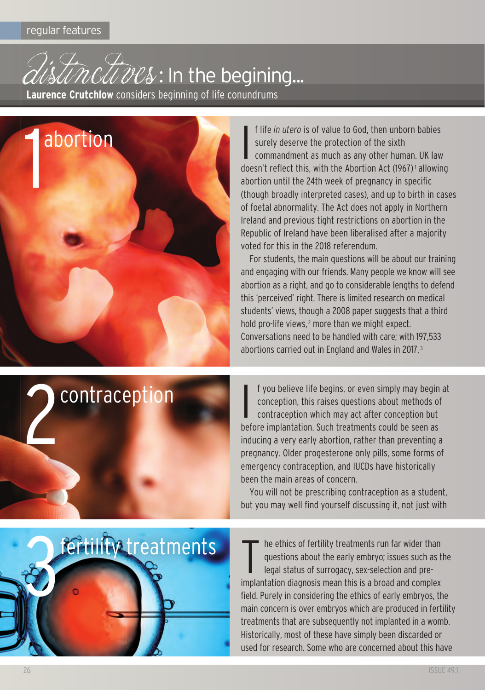



I f life *in utero* is of value to god, then unborn babies surely deserve the protection of the sixth commandment as much as any other human. UK law doesn't reflect this, with the Abortion Act (1967)<sup>1</sup> allowing abortion until the 24th week of pregnancy in specific (though broadly interpreted cases), and up to birth in cases of foetal abnormality. The Act does not apply in Northern Ireland and previous tight restrictions on abortion in the Republic of Ireland have been liberalised after a majority voted for this in the 2018 referendum.

For students, the main questions will be about our training and engaging with our friends. Many people we know will see abortion as a right, and go to considerable lengths to defend this 'perceived' right. There is limited research on medical students' views, though a 2008 paper suggests that a third hold pro-life views,<sup>2</sup> more than we might expect. conversations need to be handled with care; with 197,533 abortions carried out in England and Wales in 2017, <sup>3</sup>



I f you believe life begins, or even simply may begin at conception, this raises questions about methods of contraception which may act after conception but before implantation. Such treatments could be seen as inducing a very early abortion, rather than preventing a pregnancy. Older progesterone only pills, some forms of emergency contraception, and IUCDs have historically been the main areas of concern.

You will not be prescribing contraception as a student, but you may well find yourself discussing it, not just with



t he ethics of fertility treatments run far wider than questions about the early embryo; issues such as the legal status of surrogacy, sex-selection and preimplantation diagnosis mean this is a broad and complex field. Purely in considering the ethics of early embryos, the main concern is over embryos which are produced in fertility treatments that are subsequently not implanted in a womb. Historically, most of these have simply been discarded or used for research. Some who are concerned about this have